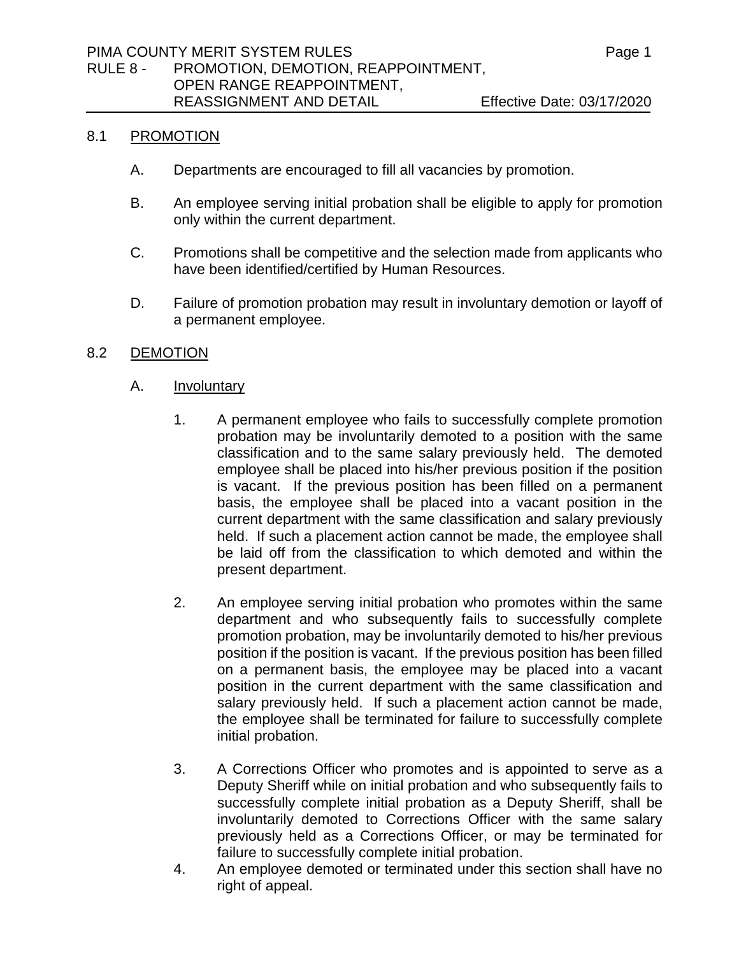### 8.1 PROMOTION

- A. Departments are encouraged to fill all vacancies by promotion.
- B. An employee serving initial probation shall be eligible to apply for promotion only within the current department.
- C. Promotions shall be competitive and the selection made from applicants who have been identified/certified by Human Resources.
- D. Failure of promotion probation may result in involuntary demotion or layoff of a permanent employee.

### 8.2 DEMOTION

- A. Involuntary
	- 1. A permanent employee who fails to successfully complete promotion probation may be involuntarily demoted to a position with the same classification and to the same salary previously held. The demoted employee shall be placed into his/her previous position if the position is vacant. If the previous position has been filled on a permanent basis, the employee shall be placed into a vacant position in the current department with the same classification and salary previously held. If such a placement action cannot be made, the employee shall be laid off from the classification to which demoted and within the present department.
	- 2. An employee serving initial probation who promotes within the same department and who subsequently fails to successfully complete promotion probation, may be involuntarily demoted to his/her previous position if the position is vacant. If the previous position has been filled on a permanent basis, the employee may be placed into a vacant position in the current department with the same classification and salary previously held. If such a placement action cannot be made, the employee shall be terminated for failure to successfully complete initial probation.
	- 3. A Corrections Officer who promotes and is appointed to serve as a Deputy Sheriff while on initial probation and who subsequently fails to successfully complete initial probation as a Deputy Sheriff, shall be involuntarily demoted to Corrections Officer with the same salary previously held as a Corrections Officer, or may be terminated for failure to successfully complete initial probation.
	- 4. An employee demoted or terminated under this section shall have no right of appeal.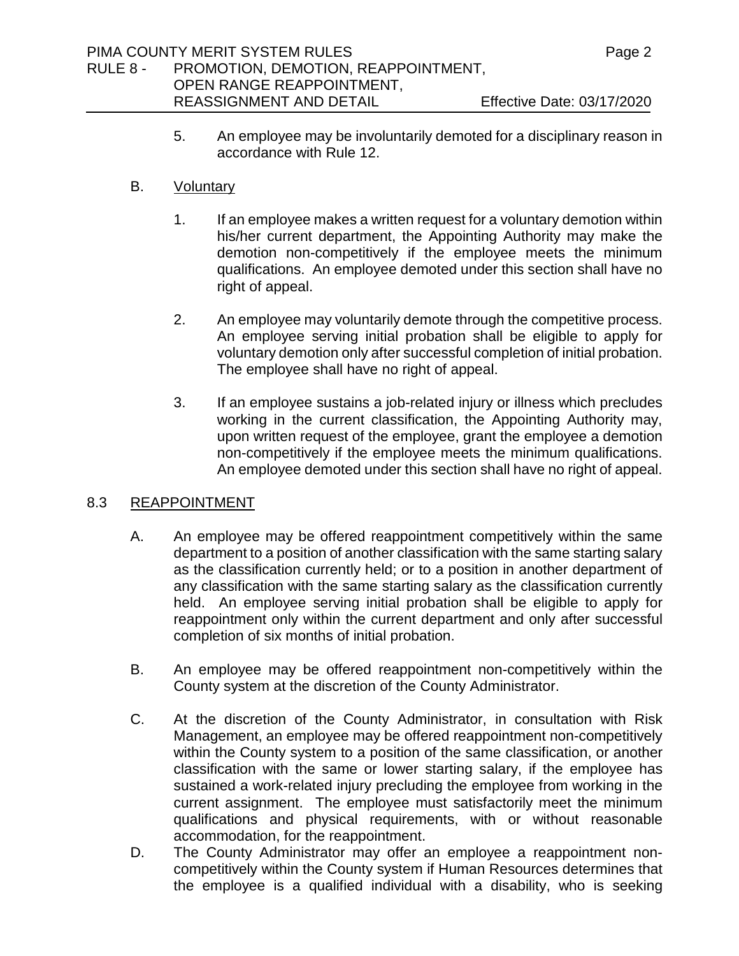5. An employee may be involuntarily demoted for a disciplinary reason in accordance with Rule 12.

## B. Voluntary

- 1. If an employee makes a written request for a voluntary demotion within his/her current department, the Appointing Authority may make the demotion non-competitively if the employee meets the minimum qualifications. An employee demoted under this section shall have no right of appeal.
- 2. An employee may voluntarily demote through the competitive process. An employee serving initial probation shall be eligible to apply for voluntary demotion only after successful completion of initial probation. The employee shall have no right of appeal.
- 3. If an employee sustains a job-related injury or illness which precludes working in the current classification, the Appointing Authority may, upon written request of the employee, grant the employee a demotion non-competitively if the employee meets the minimum qualifications. An employee demoted under this section shall have no right of appeal.

## 8.3 REAPPOINTMENT

- A. An employee may be offered reappointment competitively within the same department to a position of another classification with the same starting salary as the classification currently held; or to a position in another department of any classification with the same starting salary as the classification currently held. An employee serving initial probation shall be eligible to apply for reappointment only within the current department and only after successful completion of six months of initial probation.
- B. An employee may be offered reappointment non-competitively within the County system at the discretion of the County Administrator.
- C. At the discretion of the County Administrator, in consultation with Risk Management, an employee may be offered reappointment non-competitively within the County system to a position of the same classification, or another classification with the same or lower starting salary, if the employee has sustained a work-related injury precluding the employee from working in the current assignment. The employee must satisfactorily meet the minimum qualifications and physical requirements, with or without reasonable accommodation, for the reappointment.
- D. The County Administrator may offer an employee a reappointment noncompetitively within the County system if Human Resources determines that the employee is a qualified individual with a disability, who is seeking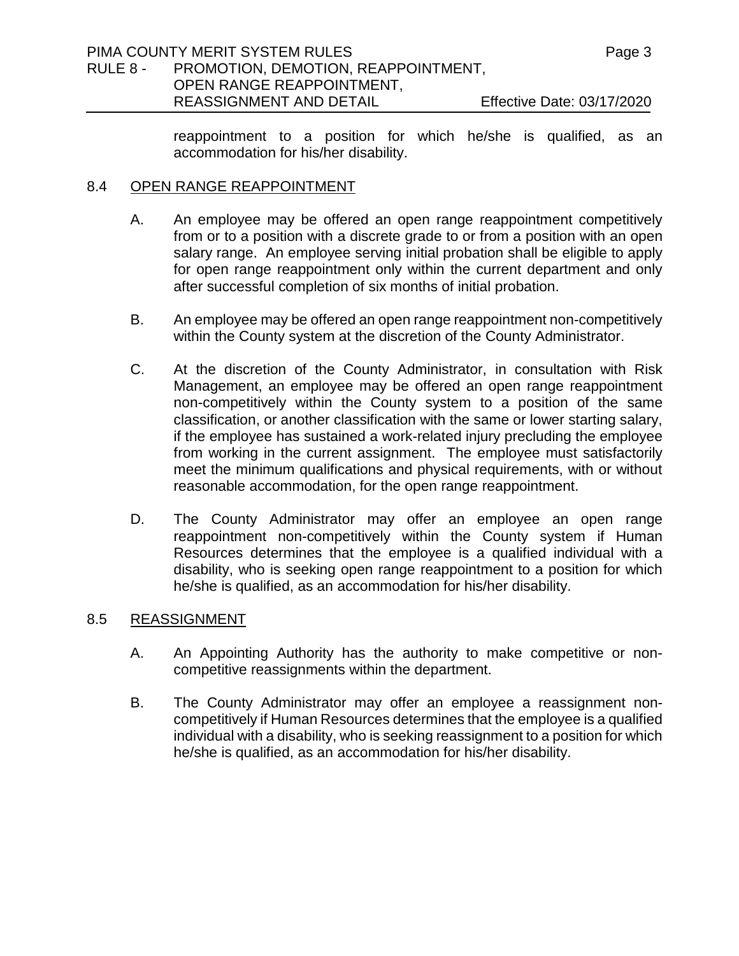reappointment to a position for which he/she is qualified, as an accommodation for his/her disability.

## 8.4 OPEN RANGE REAPPOINTMENT

- A. An employee may be offered an open range reappointment competitively from or to a position with a discrete grade to or from a position with an open salary range. An employee serving initial probation shall be eligible to apply for open range reappointment only within the current department and only after successful completion of six months of initial probation.
- B. An employee may be offered an open range reappointment non-competitively within the County system at the discretion of the County Administrator.
- C. At the discretion of the County Administrator, in consultation with Risk Management, an employee may be offered an open range reappointment non-competitively within the County system to a position of the same classification, or another classification with the same or lower starting salary, if the employee has sustained a work-related injury precluding the employee from working in the current assignment. The employee must satisfactorily meet the minimum qualifications and physical requirements, with or without reasonable accommodation, for the open range reappointment.
- D. The County Administrator may offer an employee an open range reappointment non-competitively within the County system if Human Resources determines that the employee is a qualified individual with a disability, who is seeking open range reappointment to a position for which he/she is qualified, as an accommodation for his/her disability.

## 8.5 REASSIGNMENT

- A. An Appointing Authority has the authority to make competitive or noncompetitive reassignments within the department.
- B. The County Administrator may offer an employee a reassignment noncompetitively if Human Resources determines that the employee is a qualified individual with a disability, who is seeking reassignment to a position for which he/she is qualified, as an accommodation for his/her disability.